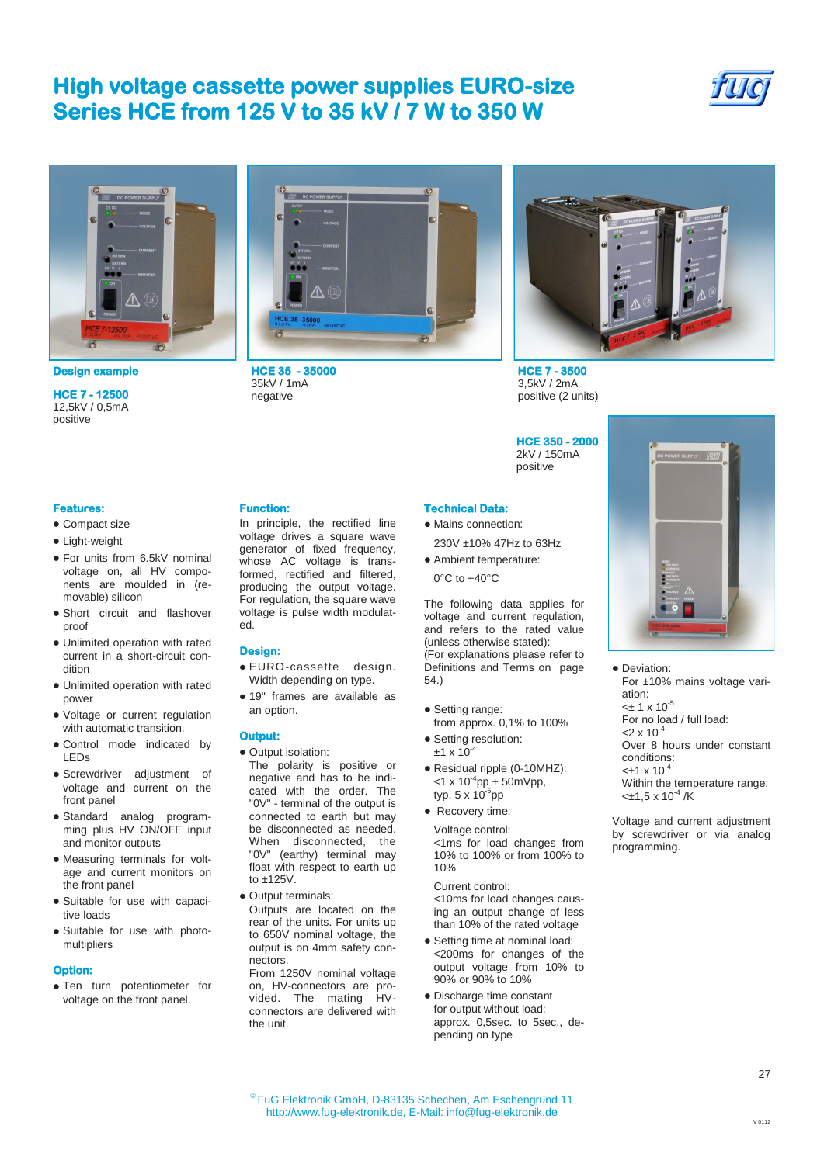### **High voltage cassette power supplies EURO-size Series HCE from 125 V to 35 kV / 7 W to 350 W**





**Design example HCE 35 - 35000** 

**HCE 7 - 12500**  12,5kV / 0,5mA positive

### **Features:**

- Compact size
- Light-weight
- For units from 6.5kV nominal voltage on, all HV components are moulded in (removable) silicon
- Short circuit and flashover proof
- Unlimited operation with rated current in a short-circuit condition
- Unlimited operation with rated power
- Voltage or current regulation with automatic transition.
- Control mode indicated by LEDs
- Screwdriver adjustment of voltage and current on the front panel
- Standard analog programming plus HV ON/OFF input and monitor outputs
- Measuring terminals for voltage and current monitors on the front panel
- Suitable for use with capacitive loads
- Suitable for use with photomultipliers

#### **Option:**

Ten turn potentiometer for voltage on the front panel.



35kV / 1mA negative

In principle, the rectified line voltage drives a square wave generator of fixed frequency, whose AC voltage is transformed, rectified and filtered, producing the output voltage. For regulation, the square wave voltage is pulse width modulat-

EURO-cassette design. Width depending on type. 19" frames are available as

The polarity is positive or negative and has to be indicated with the order. The "0V" - terminal of the output is connected to earth but may be disconnected as needed. When disconnected, the "0V" (earthy) terminal may float with respect to earth up

Outputs are located on the rear of the units. For units up to 650V nominal voltage, the output is on 4mm safety con-

From 1250V nominal voltage on, HV-connectors are provided. The mating HVconnectors are delivered with

**Function:** 

ed.

**Design:** 

**Output:** 

an option.

to ±125V. • Output terminals:

nectors.

the unit.

• Output isolation:



**HCE 7 - 3500**  3,5kV / 2mA positive (2 units)

**HCE 350 - 2000**  2kV / 150mA positive

- **Technical Data:**  • Mains connection:
	- 230V ±10% 47Hz to 63Hz
- Ambient temperature: 0°C to +40°C

The following data applies for voltage and current regulation, and refers to the rated value (unless otherwise stated): (For explanations please refer to Definitions and Terms on page 54.)

- Setting range: from approx. 0,1% to 100%
- Setting resolution:  $±1 \times 10^{-4}$
- Residual ripple (0-10MHZ):  $<$ 1 x 10<sup>-4</sup>pp + 50mVpp, typ. 5 x 10<sup>-5</sup>pp
- Recovery time:

Voltage control: <1ms for load changes from 10% to 100% or from 100% to 10%

Current control: <10ms for load changes causing an output change of less than 10% of the rated voltage

- Setting time at nominal load: <200ms for changes of the output voltage from 10% to 90% or 90% to 10%
- Discharge time constant for output without load: approx. 0,5sec. to 5sec., depending on type



• Deviation: For ±10% mains voltage variation:  $<$ ± 1 x 10<sup>-5</sup> For no load / full load:  $<$ 2 x 10<sup>-4</sup> Over 8 hours under constant conditions:  $-+1 \times 10^{-7}$ Within the temperature range:  $<\pm 1.5 \times 10^{-4}$  /K

Voltage and current adjustment by screwdriver or via analog programming.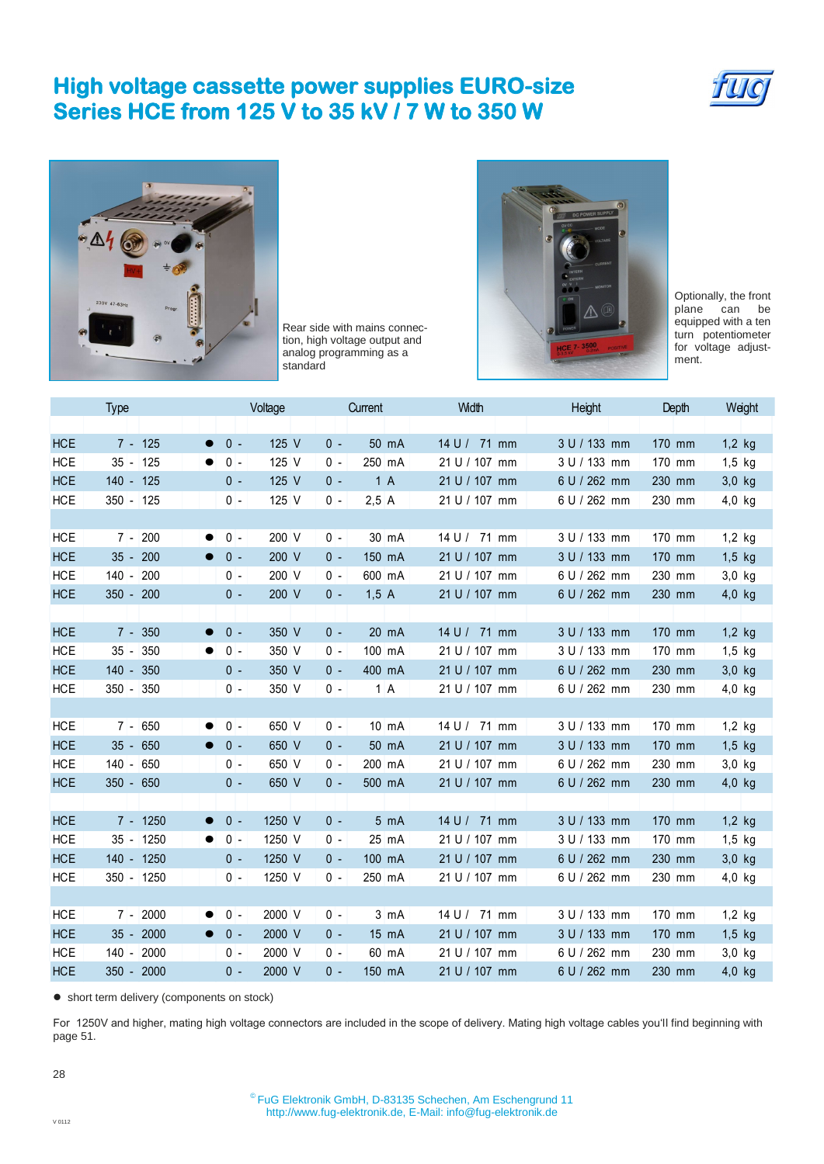# **High voltage cassette power supplies EURO-size Series HCE from 125 V to 35 kV / 7 W to 350 W**





Rear side with mains connection, high voltage output and analog programming as a standard



Optionally, the front<br>plane can be can be equipped with a ten turn potentiometer for voltage adjustment.

|            | Type            | Voltage                      | Current                  | Width         | Height       | Depth    | Weight   |
|------------|-----------------|------------------------------|--------------------------|---------------|--------------|----------|----------|
|            |                 |                              |                          |               |              |          |          |
| <b>HCE</b> | $7 - 125$       | $0 -$<br>125 V<br>$\bullet$  | $0 -$<br>50 mA           | 14 U / 71 mm  | 3 U / 133 mm | 170 mm   | $1,2$ kg |
| <b>HCE</b> | $35 - 125$      | $0 -$<br>125 V               | 250 mA<br>$0 -$          | 21 U / 107 mm | 3 U / 133 mm | 170 mm   | $1,5$ kg |
| <b>HCE</b> | 140 - 125       | $0 -$<br>125 V               | 1A<br>$0 -$              | 21 U / 107 mm | 6 U / 262 mm | 230 mm   | 3,0 kg   |
| <b>HCE</b> | $350 - 125$     | $0 -$<br>125 V               | 2,5A<br>$0 -$            | 21 U / 107 mm | 6 U / 262 mm | 230 mm   | 4,0 kg   |
|            |                 |                              |                          |               |              |          |          |
| <b>HCE</b> | $7 - 200$       | 200 V<br>$0 -$               | $0 -$<br>30 mA           | 14 U / 71 mm  | 3 U / 133 mm | 170 mm   | $1,2$ kg |
| <b>HCE</b> | 200<br>$35 -$   | $0 -$<br>200 V               | $0 -$<br>150 mA          | 21 U / 107 mm | 3 U / 133 mm | 170 mm   | $1,5$ kg |
| <b>HCE</b> | $140 -$<br>200  | 200 V<br>$0 -$               | $0 -$<br>600 mA          | 21 U / 107 mm | 6 U / 262 mm | 230 mm   | 3,0 kg   |
| <b>HCE</b> | 350 - 200       | $0 -$<br>200 V               | 1,5A<br>$0 -$            | 21 U / 107 mm | 6 U / 262 mm | 230 mm   | 4,0 kg   |
|            |                 |                              |                          |               |              |          |          |
| <b>HCE</b> | 350<br>$7 -$    | $0 -$<br>350 V               | 20 mA<br>$0 -$           | 14 U / 71 mm  | 3 U / 133 mm | 170 mm   | $1,2$ kg |
| <b>HCE</b> | $35 -$<br>350   | $0 -$<br>350 V               | 100 mA<br>$0 -$          | 21 U / 107 mm | 3 U / 133 mm | 170 mm   | $1,5$ kg |
| <b>HCE</b> | $140 -$<br>350  | 350 V<br>$0 -$               | $0 -$<br>400 mA          | 21 U / 107 mm | 6 U / 262 mm | 230 mm   | 3,0 kg   |
| <b>HCE</b> | $350 -$<br>350  | 350 V<br>0 -                 | 1A<br>$0 -$              | 21 U / 107 mm | 6 U / 262 mm | 230 mm   | 4,0 kg   |
|            |                 |                              |                          |               |              |          |          |
| <b>HCE</b> | $7 - 650$       | $0 -$<br>650 V               | $0 -$<br>$10 \text{ mA}$ | 14 U / 71 mm  | 3 U / 133 mm | $170$ mm | $1,2$ kg |
| <b>HCE</b> | $35 -$<br>650   | 650 V<br>$0 -$               | $0 -$<br>50 mA           | 21 U / 107 mm | 3 U / 133 mm | 170 mm   | $1,5$ kg |
| <b>HCE</b> | $140 - 650$     | 650 V<br>$0 -$               | $0 -$<br>200 mA          | 21 U / 107 mm | 6 U / 262 mm | 230 mm   | $3,0$ kg |
| <b>HCE</b> | $350 - 650$     | 650 V<br>$0 -$               | $0 -$<br>500 mA          | 21 U / 107 mm | 6 U / 262 mm | 230 mm   | $4,0$ kg |
|            |                 |                              |                          |               |              |          |          |
| <b>HCE</b> | 7 - 1250        | $0 -$<br>1250 V              | $0 -$<br>5 mA            | 14 U / 71 mm  | 3 U / 133 mm | 170 mm   | $1,2$ kg |
| <b>HCE</b> | $35 - 1250$     | $0 -$<br>1250 V              | $0 -$<br>25 mA           | 21 U / 107 mm | 3 U / 133 mm | 170 mm   | $1,5$ kg |
| <b>HCE</b> | 140 - 1250      | 1250 V<br>$0 -$              | $0 -$<br>100 mA          | 21 U / 107 mm | 6 U / 262 mm | 230 mm   | 3,0 kg   |
| <b>HCE</b> | 350 - 1250      | $0 -$<br>1250 V              | 0 -<br>250 mA            | 21 U / 107 mm | 6 U / 262 mm | 230 mm   | $4,0$ kg |
|            |                 |                              |                          |               |              |          |          |
| <b>HCE</b> | $7 - 2000$      | $0 -$<br>2000 V<br>$\bullet$ | $0 -$<br>$3 \text{ mA}$  | 14 U / 71 mm  | 3 U / 133 mm | 170 mm   | $1,2$ kg |
| <b>HCE</b> | $35 -$<br>2000  | $0 -$<br>2000 V              | $0 -$<br>15 mA           | 21 U / 107 mm | 3 U / 133 mm | 170 mm   | $1,5$ kg |
| <b>HCE</b> | $140 -$<br>2000 | 2000 V<br>$0 -$              | 0 -<br>60 mA             | 21 U / 107 mm | 6 U / 262 mm | 230 mm   | $3,0$ kg |
| <b>HCE</b> | $350 -$<br>2000 | 2000 V<br>$0 -$              | $0 -$<br>150 mA          | 21 U / 107 mm | 6 U / 262 mm | 230 mm   | $4,0$ kg |
|            |                 |                              |                          |               |              |          |          |

• short term delivery (components on stock)

For 1250V and higher, mating high voltage connectors are included in the scope of delivery. Mating high voltage cables you'll find beginning with page 51.